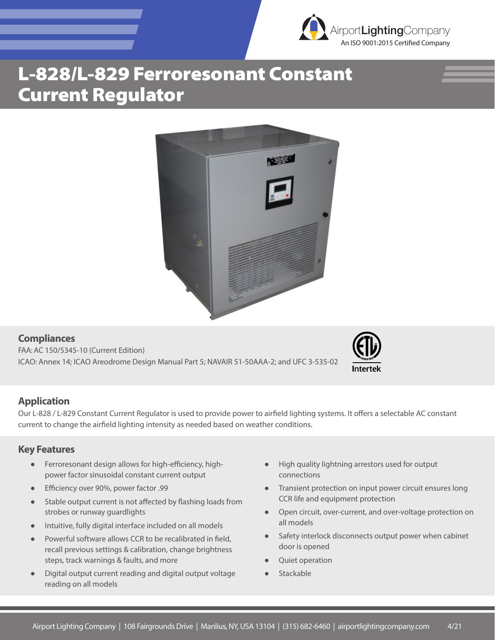

## L-828/L-829 Ferroresonant Constant Current Regulator



**Compliances** FAA: AC 150/5345-10 (Current Edition) ICAO: Annex 14; ICAO Areodrome Design Manual Part 5; NAVAIR 51-50AAA-2; and UFC 3-535-02



### **Application**

Our L-828 / L-829 Constant Current Regulator is used to provide power to airfield lighting systems. It offers a selectable AC constant current to change the airfield lighting intensity as needed based on weather conditions.

#### **Key Features**

- Ferroresonant design allows for high-efficiency, highpower factor sinusoidal constant current output
- Efficiency over 90%, power factor .99
- Stable output current is not affected by flashing loads from strobes or runway guardlights
- Intuitive, fully digital interface included on all models
- Powerful software allows CCR to be recalibrated in field, recall previous settings & calibration, change brightness steps, track warnings & faults, and more
- Digital output current reading and digital output voltage reading on all models
- High quality lightning arrestors used for output connections
- Transient protection on input power circuit ensures long CCR life and equipment protection
- Open circuit, over-current, and over-voltage protection on all models
- Safety interlock disconnects output power when cabinet door is opened
- Quiet operation
- Stackable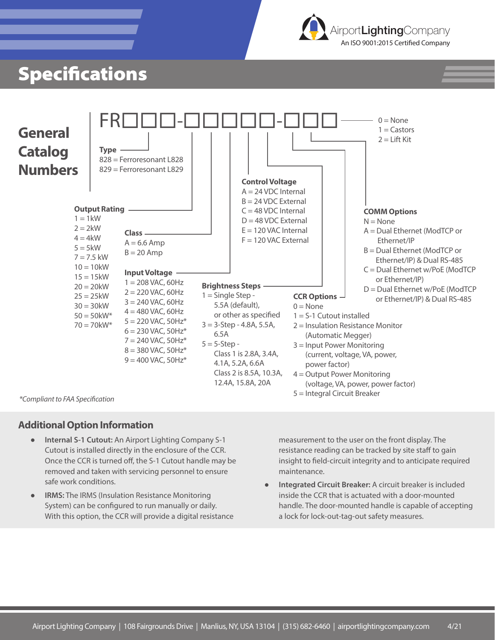

### **Specifications**



#### **Additional Option Information**

- **Internal S-1 Cutout:** An Airport Lighting Company S-1 Cutout is installed directly in the enclosure of the CCR. Once the CCR is turned off, the S-1 Cutout handle may be removed and taken with servicing personnel to ensure safe work conditions.
- **IRMS:** The IRMS (Insulation Resistance Monitoring System) can be configured to run manually or daily. With this option, the CCR will provide a digital resistance

measurement to the user on the front display. The resistance reading can be tracked by site staff to gain insight to field-circuit integrity and to anticipate required maintenance.

**Integrated Circuit Breaker:** A circuit breaker is included inside the CCR that is actuated with a door-mounted handle. The door-mounted handle is capable of accepting a lock for lock-out-tag-out safety measures.